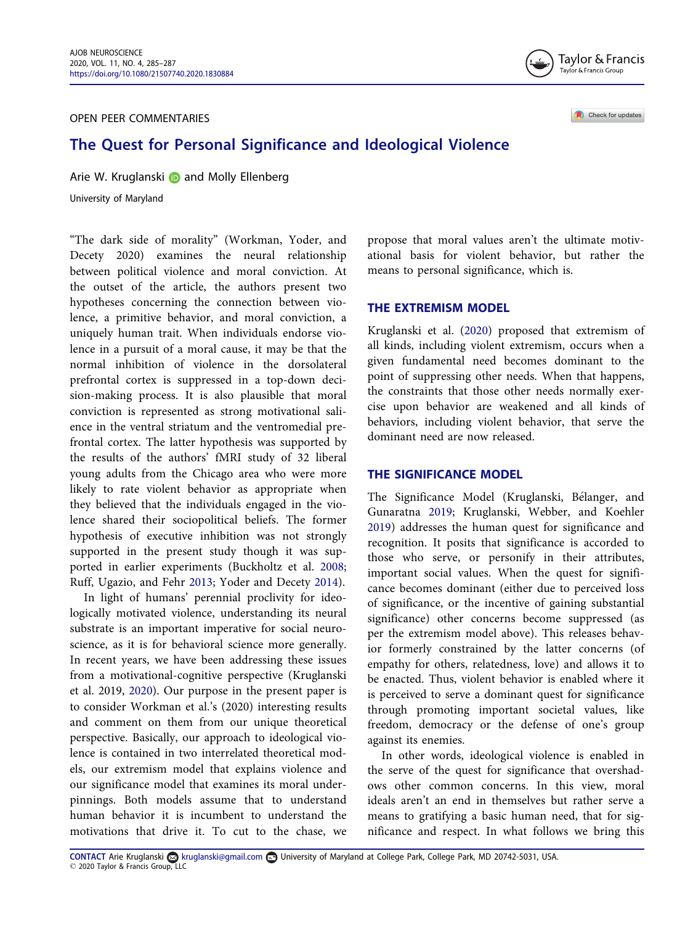<span id="page-0-0"></span>OPEN PEER COMMENTARIES



Check for updates

# The Quest for Personal Significance and Ideological Violence

Arie W. Kruglanski **and Molly Ellenberg** 

University of Maryland

"The dark side of morality" (Workman, Yoder, and Decety 2020) examines the neural relationship between political violence and moral conviction. At the outset of the article, the authors present two hypotheses concerning the connection between violence, a primitive behavior, and moral conviction, a uniquely human trait. When individuals endorse violence in a pursuit of a moral cause, it may be that the normal inhibition of violence in the dorsolateral prefrontal cortex is suppressed in a top-down decision-making process. It is also plausible that moral conviction is represented as strong motivational salience in the ventral striatum and the ventromedial prefrontal cortex. The latter hypothesis was supported by the results of the authors' fMRI study of 32 liberal young adults from the Chicago area who were more likely to rate violent behavior as appropriate when they believed that the individuals engaged in the violence shared their sociopolitical beliefs. The former hypothesis of executive inhibition was not strongly supported in the present study though it was supported in earlier experiments (Buckholtz et al. [2008;](#page-2-0) Ruff, Ugazio, and Fehr [2013](#page-2-0); Yoder and Decety [2014\)](#page-2-0).

In light of humans' perennial proclivity for ideologically motivated violence, understanding its neural substrate is an important imperative for social neuroscience, as it is for behavioral science more generally. In recent years, we have been addressing these issues from a motivational-cognitive perspective (Kruglanski et al. 2019, [2020\)](#page-2-0). Our purpose in the present paper is to consider Workman et al.'s (2020) interesting results and comment on them from our unique theoretical perspective. Basically, our approach to ideological violence is contained in two interrelated theoretical models, our extremism model that explains violence and our significance model that examines its moral underpinnings. Both models assume that to understand human behavior it is incumbent to understand the motivations that drive it. To cut to the chase, we propose that moral values aren't the ultimate motivational basis for violent behavior, but rather the means to personal significance, which is.

## THE EXTREMISM MODEL

Kruglanski et al. [\(2020](#page-2-0)) proposed that extremism of all kinds, including violent extremism, occurs when a given fundamental need becomes dominant to the point of suppressing other needs. When that happens, the constraints that those other needs normally exercise upon behavior are weakened and all kinds of behaviors, including violent behavior, that serve the dominant need are now released.

## THE SIGNIFICANCE MODEL

The Significance Model (Kruglanski, Belanger, and Gunaratna [2019;](#page-2-0) Kruglanski, Webber, and Koehler [2019](#page-2-0)) addresses the human quest for significance and recognition. It posits that significance is accorded to those who serve, or personify in their attributes, important social values. When the quest for significance becomes dominant (either due to perceived loss of significance, or the incentive of gaining substantial significance) other concerns become suppressed (as per the extremism model above). This releases behavior formerly constrained by the latter concerns (of empathy for others, relatedness, love) and allows it to be enacted. Thus, violent behavior is enabled where it is perceived to serve a dominant quest for significance through promoting important societal values, like freedom, democracy or the defense of one's group against its enemies.

In other words, ideological violence is enabled in the serve of the quest for significance that overshadows other common concerns. In this view, moral ideals aren't an end in themselves but rather serve a means to gratifying a basic human need, that for significance and respect. In what follows we bring this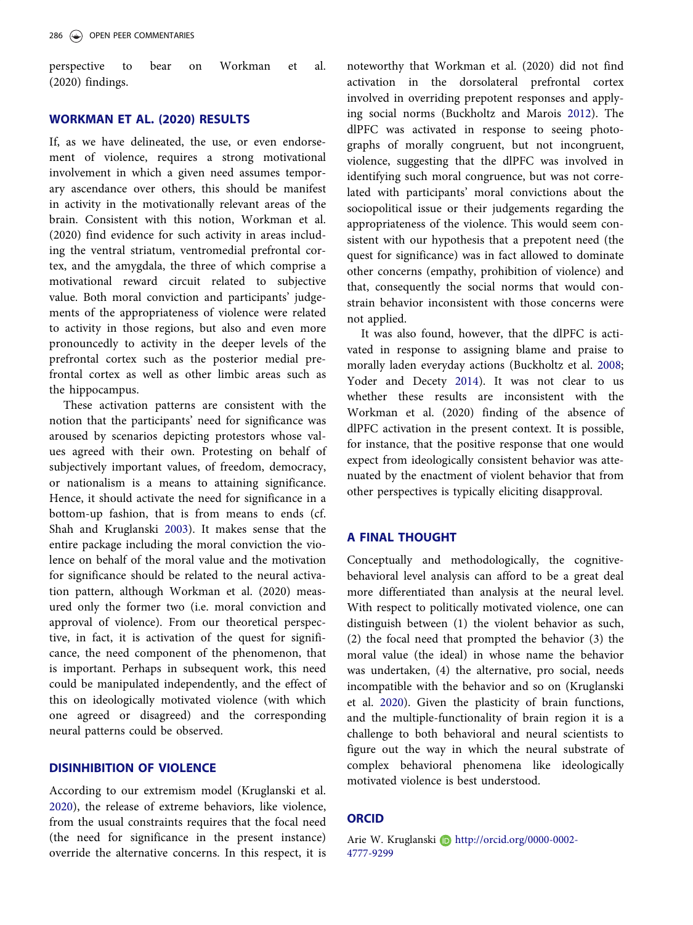<span id="page-1-0"></span>perspective to bear on Workman et al. (2020) findings.

#### WORKMAN ET AL. (2020) RESULTS

If, as we have delineated, the use, or even endorsement of violence, requires a strong motivational involvement in which a given need assumes temporary ascendance over others, this should be manifest in activity in the motivationally relevant areas of the brain. Consistent with this notion, Workman et al. (2020) find evidence for such activity in areas including the ventral striatum, ventromedial prefrontal cortex, and the amygdala, the three of which comprise a motivational reward circuit related to subjective value. Both moral conviction and participants' judgements of the appropriateness of violence were related to activity in those regions, but also and even more pronouncedly to activity in the deeper levels of the prefrontal cortex such as the posterior medial prefrontal cortex as well as other limbic areas such as the hippocampus.

These activation patterns are consistent with the notion that the participants' need for significance was aroused by scenarios depicting protestors whose values agreed with their own. Protesting on behalf of subjectively important values, of freedom, democracy, or nationalism is a means to attaining significance. Hence, it should activate the need for significance in a bottom-up fashion, that is from means to ends (cf. Shah and Kruglanski [2003](#page-2-0)). It makes sense that the entire package including the moral conviction the violence on behalf of the moral value and the motivation for significance should be related to the neural activation pattern, although Workman et al. (2020) measured only the former two (i.e. moral conviction and approval of violence). From our theoretical perspective, in fact, it is activation of the quest for significance, the need component of the phenomenon, that is important. Perhaps in subsequent work, this need could be manipulated independently, and the effect of this on ideologically motivated violence (with which one agreed or disagreed) and the corresponding neural patterns could be observed.

#### DISINHIBITION OF VIOLENCE

According to our extremism model (Kruglanski et al. [2020](#page-2-0)), the release of extreme behaviors, like violence, from the usual constraints requires that the focal need (the need for significance in the present instance) override the alternative concerns. In this respect, it is

noteworthy that Workman et al. (2020) did not find activation in the dorsolateral prefrontal cortex involved in overriding prepotent responses and applying social norms (Buckholtz and Marois [2012\)](#page-2-0). The dlPFC was activated in response to seeing photographs of morally congruent, but not incongruent, violence, suggesting that the dlPFC was involved in identifying such moral congruence, but was not correlated with participants' moral convictions about the sociopolitical issue or their judgements regarding the appropriateness of the violence. This would seem consistent with our hypothesis that a prepotent need (the quest for significance) was in fact allowed to dominate other concerns (empathy, prohibition of violence) and that, consequently the social norms that would constrain behavior inconsistent with those concerns were not applied.

It was also found, however, that the dlPFC is activated in response to assigning blame and praise to morally laden everyday actions (Buckholtz et al. [2008](#page-2-0); Yoder and Decety [2014](#page-2-0)). It was not clear to us whether these results are inconsistent with the Workman et al. (2020) finding of the absence of dlPFC activation in the present context. It is possible, for instance, that the positive response that one would expect from ideologically consistent behavior was attenuated by the enactment of violent behavior that from other perspectives is typically eliciting disapproval.

## A FINAL THOUGHT

Conceptually and methodologically, the cognitivebehavioral level analysis can afford to be a great deal more differentiated than analysis at the neural level. With respect to politically motivated violence, one can distinguish between (1) the violent behavior as such, (2) the focal need that prompted the behavior (3) the moral value (the ideal) in whose name the behavior was undertaken, (4) the alternative, pro social, needs incompatible with the behavior and so on (Kruglanski et al. [2020\)](#page-2-0). Given the plasticity of brain functions, and the multiple-functionality of brain region it is a challenge to both behavioral and neural scientists to figure out the way in which the neural substrate of complex behavioral phenomena like ideologically motivated violence is best understood.

## **ORCID**

Arie W. Kruglanski D http://orcid.org/0000-0002-4777-9299